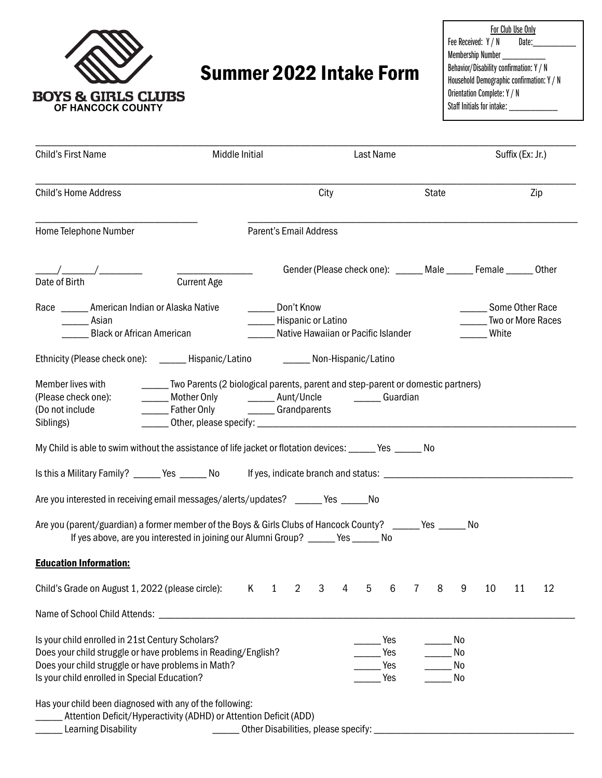

# Summer 2022 Intake Form

For Club Use Only<br>//N Date: Fee Received:  $Y / N$ Membership Number \_\_\_\_\_\_\_\_ Behavior/Disability confirmation: Y / N Household Demographic confirmation: Y / N Orientation Complete: Y / N Staff Initials for intake: \_\_\_\_\_\_

| Child's First Name                                                                                                                                                                                                      | Middle Initial                                                                                                                                                                                   |                                     | Last Name |                                                                                |  |   |                          | Suffix (Ex: Jr.) |                                                      |                      |                                                                   |    |    |
|-------------------------------------------------------------------------------------------------------------------------------------------------------------------------------------------------------------------------|--------------------------------------------------------------------------------------------------------------------------------------------------------------------------------------------------|-------------------------------------|-----------|--------------------------------------------------------------------------------|--|---|--------------------------|------------------|------------------------------------------------------|----------------------|-------------------------------------------------------------------|----|----|
| <b>Child's Home Address</b>                                                                                                                                                                                             |                                                                                                                                                                                                  | City                                |           |                                                                                |  |   | State                    |                  |                                                      | Zip                  |                                                                   |    |    |
| Home Telephone Number                                                                                                                                                                                                   |                                                                                                                                                                                                  | Parent's Email Address              |           |                                                                                |  |   |                          |                  |                                                      |                      |                                                                   |    |    |
| $\frac{1}{\text{Date of Birth}}$                                                                                                                                                                                        | <b>Current Age</b>                                                                                                                                                                               |                                     |           |                                                                                |  |   |                          |                  |                                                      |                      | Gender (Please check one): ______ Male ______ Female ______ Other |    |    |
| ____ Asian                                                                                                                                                                                                              | Race ________ American Indian or Alaska Native<br><b>Black or African American</b>                                                                                                               |                                     |           | Don't Know<br>______ Hispanic or Latino<br>Native Hawaiian or Pacific Islander |  |   |                          |                  | Some Other Race<br><b>Two or More Races</b><br>White |                      |                                                                   |    |    |
|                                                                                                                                                                                                                         |                                                                                                                                                                                                  |                                     |           |                                                                                |  |   |                          |                  |                                                      |                      |                                                                   |    |    |
| Member lives with<br>(Please check one):<br>(Do not include<br>Siblings)<br>My Child is able to swim without the assistance of life jacket or flotation devices: _____ Yes _____ No                                     | [2010] Two Parents (2 biological parents, parent and step-parent or domestic partners)<br>______ Mother Only _________ Aunt/Uncle _________ Guardian<br>______Father Only __________Grandparents |                                     |           |                                                                                |  |   |                          |                  |                                                      |                      |                                                                   |    |    |
|                                                                                                                                                                                                                         |                                                                                                                                                                                                  |                                     |           |                                                                                |  |   |                          |                  |                                                      |                      |                                                                   |    |    |
| Are you interested in receiving email messages/alerts/updates? ______ Yes ______No                                                                                                                                      |                                                                                                                                                                                                  |                                     |           |                                                                                |  |   |                          |                  |                                                      |                      |                                                                   |    |    |
| Are you (parent/guardian) a former member of the Boys & Girls Clubs of Hancock County? ______ Yes ______ No<br>If yes above, are you interested in joining our Alumni Group? _____ Yes _____ No                         |                                                                                                                                                                                                  |                                     |           |                                                                                |  |   |                          |                  |                                                      |                      |                                                                   |    |    |
| <b>Education Information:</b>                                                                                                                                                                                           |                                                                                                                                                                                                  |                                     |           |                                                                                |  |   |                          |                  |                                                      |                      |                                                                   |    |    |
| Child's Grade on August 1, 2022 (please circle):                                                                                                                                                                        | K                                                                                                                                                                                                |                                     | 2         | 3                                                                              |  | 5 | 6                        |                  | 8                                                    | 9                    | 10                                                                | 11 | 12 |
| Name of School Child Attends:                                                                                                                                                                                           |                                                                                                                                                                                                  |                                     |           |                                                                                |  |   |                          |                  |                                                      |                      |                                                                   |    |    |
| Is your child enrolled in 21st Century Scholars?<br>Does your child struggle or have problems in Reading/English?<br>Does your child struggle or have problems in Math?<br>Is your child enrolled in Special Education? |                                                                                                                                                                                                  |                                     |           |                                                                                |  |   | Yes<br>Yes<br>Yes<br>Yes |                  |                                                      | No<br>No<br>No<br>No |                                                                   |    |    |
| Has your child been diagnosed with any of the following:<br>Attention Deficit/Hyperactivity (ADHD) or Attention Deficit (ADD)<br><b>Learning Disability</b>                                                             |                                                                                                                                                                                                  | Other Disabilities, please specify: |           |                                                                                |  |   |                          |                  |                                                      |                      |                                                                   |    |    |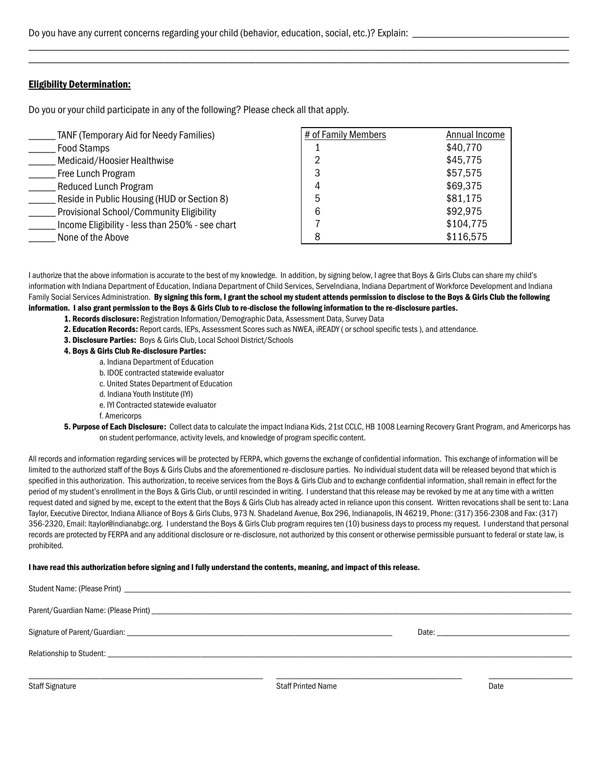#### Eligibility Determination:

Do you or your child participate in any of the following? Please check all that apply.

| <b>TANF (Temporary Aid for Needy Families)</b>  | # of Family Members | Annual Income |
|-------------------------------------------------|---------------------|---------------|
| <b>Food Stamps</b>                              |                     | \$40,770      |
| Medicaid/Hoosier Healthwise                     |                     | \$45,775      |
| Free Lunch Program                              |                     | \$57,575      |
| <b>Reduced Lunch Program</b>                    |                     | \$69,375      |
| Reside in Public Housing (HUD or Section 8)     |                     | \$81,175      |
| Provisional School/Community Eligibility        | 6                   | \$92,975      |
| Income Eligibility - less than 250% - see chart |                     | \$104,775     |
| None of the Above                               |                     | \$116,575     |

I authorize that the above information is accurate to the best of my knowledge. In addition, by signing below, I agree that Boys & Girls Clubs can share my child's information with Indiana Department of Education, Indiana Department of Child Services, ServeIndiana, Indiana Department of Workforce Development and Indiana Family Social Services Administration. By signing this form, I grant the school my student attends permission to disclose to the Boys & Girls Club the following information. I also grant permission to the Boys & Girls Club to re-disclose the following information to the re-disclosure parties.

\_\_\_\_\_\_\_\_\_\_\_\_\_\_\_\_\_\_\_\_\_\_\_\_\_\_\_\_\_\_\_\_\_\_\_\_\_\_\_\_\_\_\_\_\_\_\_\_\_\_\_\_\_\_\_\_\_\_\_\_\_\_\_\_\_\_\_\_\_\_\_\_\_\_\_\_\_\_\_\_\_\_\_\_\_\_\_\_\_\_\_\_\_\_\_\_\_\_\_\_ \_\_\_\_\_\_\_\_\_\_\_\_\_\_\_\_\_\_\_\_\_\_\_\_\_\_\_\_\_\_\_\_\_\_\_\_\_\_\_\_\_\_\_\_\_\_\_\_\_\_\_\_\_\_\_\_\_\_\_\_\_\_\_\_\_\_\_\_\_\_\_\_\_\_\_\_\_\_\_\_\_\_\_\_\_\_\_\_\_\_\_\_\_\_\_\_\_\_\_\_

- 1. Records disclosure: Registration Information/Demographic Data, Assessment Data, Survey Data
- 2. Education Records: Report cards, IEPs, Assessment Scores such as NWEA, iREADY (or school specific tests), and attendance.
- 3. Disclosure Parties: Boys & Girls Club, Local School District/Schools
- 4. Boys & Girls Club Re-disclosure Parties:
	- a. Indiana Department of Education
	- b. IDOE contracted statewide evaluator
	- c. United States Department of Education
	- d. Indiana Youth Institute (IYI)
	- e. IYI Contracted statewide evaluator

f. Americorps

5. Purpose of Each Disclosure: Collect data to calculate the impact Indiana Kids, 21st CCLC, HB 1008 Learning Recovery Grant Program, and Americorps has on student performance, activity levels, and knowledge of program specific content.

All records and information regarding services will be protected by FERPA, which governs the exchange of confidential information. This exchange of information will be limited to the authorized staff of the Boys & Girls Clubs and the aforementioned re-disclosure parties. No individual student data will be released beyond that which is specified in this authorization. This authorization, to receive services from the Boys & Girls Club and to exchange confidential information, shall remain in effect for the period of my student's enrollment in the Boys & Girls Club, or until rescinded in writing. I understand that this release may be revoked by me at any time with a written request dated and signed by me, except to the extent that the Boys & Girls Club has already acted in reliance upon this consent. Written revocations shall be sent to: Lana Taylor, Executive Director, Indiana Alliance of Boys & Girls Clubs, 973 N. Shadeland Avenue, Box 296, Indianapolis, IN 46219, Phone: (317) 356-2308 and Fax: (317) 356-2320, Email: ltaylor@indianabgc.org. I understand the Boys & Girls Club program requires ten (10) business days to process my request. I understand that personal records are protected by FERPA and any additional disclosure or re-disclosure, not authorized by this consent or otherwise permissible pursuant to federal or state law, is prohibited.

#### I have read this authorization before signing and I fully understand the contents, meaning, and impact of this release.

| Student Name: (Please Print) Law March 2014 19:30 AM Annual March 2014 19:30 AM Annual March 2014 19:30 AM Annual March 2014 19:30 AM Annual March 2014 19:30 AM Annual March 2014 19:30 AM Annual March 2014 19:30 AM Annual  |                           |      |  |  |  |  |  |
|--------------------------------------------------------------------------------------------------------------------------------------------------------------------------------------------------------------------------------|---------------------------|------|--|--|--|--|--|
|                                                                                                                                                                                                                                |                           |      |  |  |  |  |  |
| Signature of Parent/Guardian: Law and Contract and Contract and Contract and Contract and Contract and Contract and Contract and Contract and Contract and Contract and Contract and Contract and Contract and Contract and Co |                           |      |  |  |  |  |  |
|                                                                                                                                                                                                                                |                           |      |  |  |  |  |  |
|                                                                                                                                                                                                                                |                           |      |  |  |  |  |  |
| <b>Staff Signature</b>                                                                                                                                                                                                         | <b>Staff Printed Name</b> | Date |  |  |  |  |  |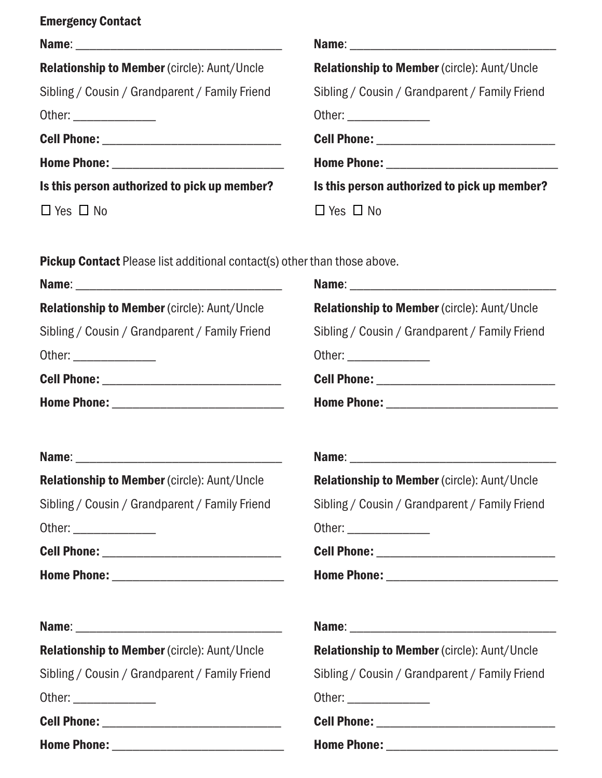| <b>Relationship to Member (circle): Aunt/Uncle</b> | <b>Relationship to Member (circle): Aunt/Uncle</b> |
|----------------------------------------------------|----------------------------------------------------|
| Sibling / Cousin / Grandparent / Family Friend     | Sibling / Cousin / Grandparent / Family Friend     |
| Other: ________________                            | Other: ________________                            |
|                                                    |                                                    |
|                                                    |                                                    |
| Is this person authorized to pick up member?       | Is this person authorized to pick up member?       |
| $\Box$ Yes $\Box$ No                               | $\Box$ Yes $\Box$ No                               |
|                                                    |                                                    |
|                                                    |                                                    |

Pickup Contact Please list additional contact(s) other than those above.

| <b>Relationship to Member (circle): Aunt/Uncle</b>                                                                                                                                                                             | Relationship to Member (circle): Aunt/Uncle             |
|--------------------------------------------------------------------------------------------------------------------------------------------------------------------------------------------------------------------------------|---------------------------------------------------------|
| Sibling / Cousin / Grandparent / Family Friend                                                                                                                                                                                 | Sibling / Cousin / Grandparent / Family Friend          |
|                                                                                                                                                                                                                                |                                                         |
| Cell Phone: _________________________________                                                                                                                                                                                  |                                                         |
|                                                                                                                                                                                                                                |                                                         |
|                                                                                                                                                                                                                                |                                                         |
| <b>Relationship to Member (circle): Aunt/Uncle</b>                                                                                                                                                                             | Relationship to Member (circle): Aunt/Uncle             |
| Sibling / Cousin / Grandparent / Family Friend                                                                                                                                                                                 | Sibling / Cousin / Grandparent / Family Friend          |
| Other: University of the Contract of the Contract of the Contract of the Contract of the Contract of the Contract of the Contract of the Contract of the Contract of the Contract of the Contract of the Contract of the Contr | Other: <u>with a state of the state of the state of</u> |
|                                                                                                                                                                                                                                |                                                         |
|                                                                                                                                                                                                                                |                                                         |
|                                                                                                                                                                                                                                |                                                         |
| <b>Relationship to Member (circle): Aunt/Uncle</b>                                                                                                                                                                             | <b>Relationship to Member (circle): Aunt/Uncle</b>      |
| Sibling / Cousin / Grandparent / Family Friend                                                                                                                                                                                 | Sibling / Cousin / Grandparent / Family Friend          |
|                                                                                                                                                                                                                                | Other: ________________                                 |
|                                                                                                                                                                                                                                |                                                         |
|                                                                                                                                                                                                                                |                                                         |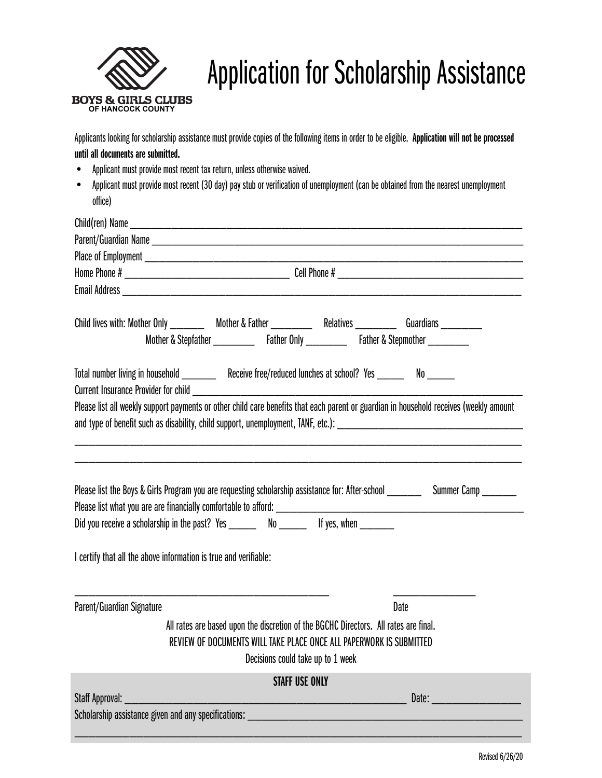

# Application for Scholarship Assistance

Applicants looking for scholarship assistance must provide copies of the following items in order to be eligible. Application will not be processed until all documents are submitted.

- Applicant must provide most recent tax return, unless otherwise waived.
- Applicant must provide most recent (30 day) pay stub or verification of unemployment (can be obtained from the nearest unemployment office)

|                                                                  | Child lives with: Mother Only ___________ Mother & Father _____________ Relatives ___________ Guardians _________                      |      |                     |  |  |  |
|------------------------------------------------------------------|----------------------------------------------------------------------------------------------------------------------------------------|------|---------------------|--|--|--|
|                                                                  |                                                                                                                                        |      |                     |  |  |  |
|                                                                  | Total number living in household ___________ Receive free/reduced lunches at school? Yes ________ No ______                            |      |                     |  |  |  |
|                                                                  | Please list all weekly support payments or other child care benefits that each parent or guardian in household receives (weekly amount |      |                     |  |  |  |
|                                                                  |                                                                                                                                        |      |                     |  |  |  |
|                                                                  |                                                                                                                                        |      |                     |  |  |  |
|                                                                  |                                                                                                                                        |      |                     |  |  |  |
|                                                                  | Please list the Boys & Girls Program you are requesting scholarship assistance for: After-school _______                               |      | Summer Camp _______ |  |  |  |
|                                                                  |                                                                                                                                        |      |                     |  |  |  |
|                                                                  | Did you receive a scholarship in the past? Yes __________ No _____________ If yes, when _________                                      |      |                     |  |  |  |
|                                                                  |                                                                                                                                        |      |                     |  |  |  |
| I certify that all the above information is true and verifiable: |                                                                                                                                        |      |                     |  |  |  |
|                                                                  |                                                                                                                                        |      |                     |  |  |  |
| Parent/Guardian Signature                                        |                                                                                                                                        | Date |                     |  |  |  |
|                                                                  | All rates are based upon the discretion of the BGCHC Directors. All rates are final.                                                   |      |                     |  |  |  |
|                                                                  | REVIEW OF DOCUMENTS WILL TAKE PLACE ONCE ALL PAPERWORK IS SUBMITTED                                                                    |      |                     |  |  |  |
|                                                                  | Decisions could take up to 1 week                                                                                                      |      |                     |  |  |  |
|                                                                  | <b>STAFF USE ONLY</b>                                                                                                                  |      |                     |  |  |  |
| Staff Approval: _________________                                | <u> 1989 - Johann John Stone, meilich aus der Stone († 1908)</u>                                                                       |      |                     |  |  |  |
|                                                                  |                                                                                                                                        |      |                     |  |  |  |
|                                                                  |                                                                                                                                        |      |                     |  |  |  |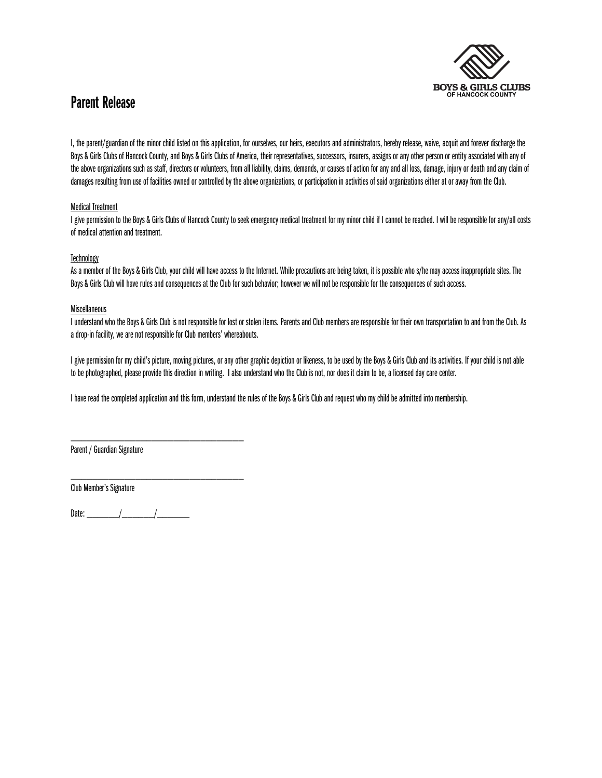

### Parent Release

I, the parent/guardian of the minor child listed on this application, for ourselves, our heirs, executors and administrators, hereby release, waive, acquit and forever discharge the Boys & Girls Clubs of Hancock County, and Boys & Girls Clubs of America, their representatives, successors, insurers, assigns or any other person or entity associated with any of the above organizations such as staff, directors or volunteers, from all liability, claims, demands, or causes of action for any and all loss, damage, injury or death and any claim of damages resulting from use of facilities owned or controlled by the above organizations, or participation in activities of said organizations either at or away from the Club.

#### Medical Treatment

I give permission to the Boys & Girls Clubs of Hancock County to seek emergency medical treatment for my minor child if I cannot be reached. I will be responsible for any/all costs of medical attention and treatment.

#### **Technology**

As a member of the Boys & Girls Club, your child will have access to the Internet. While precautions are being taken, it is possible who s/he may access inappropriate sites. The Boys & Girls Club will have rules and consequences at the Club for such behavior; however we will not be responsible for the consequences of such access.

#### Miscellaneous

I understand who the Boys & Girls Club is not responsible for lost or stolen items. Parents and Club members are responsible for their own transportation to and from the Club. As a drop-in facility, we are not responsible for Club members' whereabouts.

I give permission for my child's picture, moving pictures, or any other graphic depiction or likeness, to be used by the Boys & Girls Club and its activities. If your child is not able to be photographed, please provide this direction in writing. I also understand who the Club is not, nor does it claim to be, a licensed day care center.

I have read the completed application and this form, understand the rules of the Boys & Girls Club and request who my child be admitted into membership.

\_\_\_\_\_\_\_\_\_\_\_\_\_\_\_\_\_\_\_\_\_\_\_\_\_\_\_\_\_\_\_\_ Parent / Guardian Signature

\_\_\_\_\_\_\_\_\_\_\_\_\_\_\_\_\_\_\_\_\_\_\_\_\_\_\_\_\_\_\_\_ Club Member's Signature

Date:  $\frac{1}{2}$   $\frac{1}{2}$   $\frac{1}{2}$   $\frac{1}{2}$   $\frac{1}{2}$   $\frac{1}{2}$   $\frac{1}{2}$   $\frac{1}{2}$   $\frac{1}{2}$   $\frac{1}{2}$   $\frac{1}{2}$   $\frac{1}{2}$   $\frac{1}{2}$   $\frac{1}{2}$   $\frac{1}{2}$   $\frac{1}{2}$   $\frac{1}{2}$   $\frac{1}{2}$   $\frac{1}{2}$   $\frac{1}{2}$   $\frac{1}{2}$   $\frac{1$